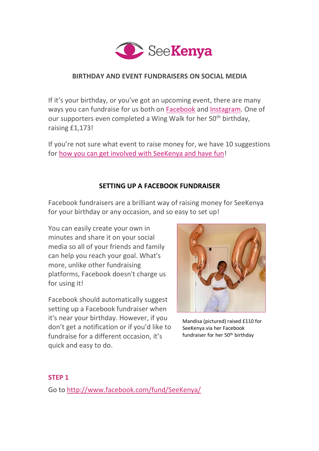

#### **BIRTHDAY AND EVENT FUNDRAISERS ON SOCIAL MEDIA**

If it's your birthday, or you've got an upcoming event, there are many ways you can fundraise for us both on [Facebook](#page-0-0) and [Instagram.](#page-2-0) One of our supporters even completed a Wing Walk for her 50<sup>th</sup> birthday. raising £1,173!

If you're not sure what event to raise money for, we have 10 suggestions for [how you can get involved with SeeKenya and have fun!](https://www.seekenya.org/post/10-ways-to-get-involved)

## **SETTING UP A FACEBOOK FUNDRAISER**

<span id="page-0-0"></span>Facebook fundraisers are a brilliant way of raising money for SeeKenya for your birthday or any occasion, and so easy to set up!

You can easily create your own in minutes and share it on your social media so all of your friends and family can help you reach your goal. What's more, unlike other fundraising platforms, Facebook doesn't charge us for using it!

Facebook should automatically suggest setting up a Facebook fundraiser when it's near your birthday. However, if you don't get a notification or if you'd like to fundraise for a different occasion, it's quick and easy to do.



Mandisa (pictured) raised £110 for SeeKenya via her Facebook fundraiser for her 50<sup>th</sup> birthday

#### **STEP 1**

Go to <http://www.facebook.com/fund/SeeKenya/>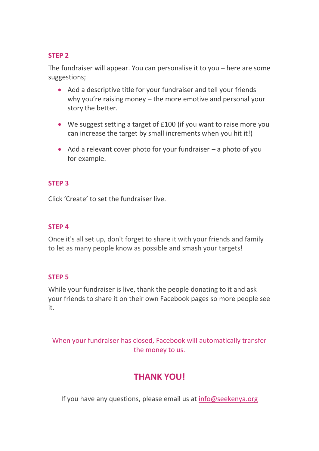#### **STEP 2**

The fundraiser will appear. You can personalise it to you – here are some suggestions;

- Add a descriptive title for your fundraiser and tell your friends why you're raising money – the more emotive and personal your story the better.
- We suggest setting a target of £100 (if you want to raise more you can increase the target by small increments when you hit it!)
- Add a relevant cover photo for your fundraiser  $-$  a photo of you for example.

#### **STEP 3**

Click 'Create' to set the fundraiser live.

#### **STEP 4**

Once it's all set up, don't forget to share it with your friends and family to let as many people know as possible and smash your targets!

#### **STEP 5**

While your fundraiser is live, thank the people donating to it and ask your friends to share it on their own Facebook pages so more people see it.

When your fundraiser has closed, Facebook will automatically transfer the money to us.

## **THANK YOU!**

If you have any questions, please email us at [info@seekenya.org](mailto:info@seekenya.org)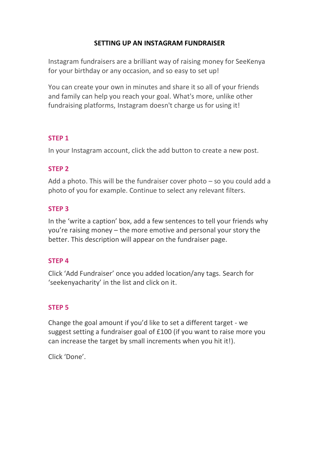#### **SETTING UP AN INSTAGRAM FUNDRAISER**

<span id="page-2-0"></span>Instagram fundraisers are a brilliant way of raising money for SeeKenya for your birthday or any occasion, and so easy to set up!

You can create your own in minutes and share it so all of your friends and family can help you reach your goal. What's more, unlike other fundraising platforms, Instagram doesn't charge us for using it!

## **STEP 1**

In your Instagram account, click the add button to create a new post.

## **STEP 2**

Add a photo. This will be the fundraiser cover photo – so you could add a photo of you for example. Continue to select any relevant filters.

## **STEP 3**

In the 'write a caption' box, add a few sentences to tell your friends why you're raising money – the more emotive and personal your story the better. This description will appear on the fundraiser page.

#### **STEP 4**

Click 'Add Fundraiser' once you added location/any tags. Search for 'seekenyacharity' in the list and click on it.

#### **STEP 5**

Change the goal amount if you'd like to set a different target - we suggest setting a fundraiser goal of £100 (if you want to raise more you can increase the target by small increments when you hit it!).

Click 'Done'.